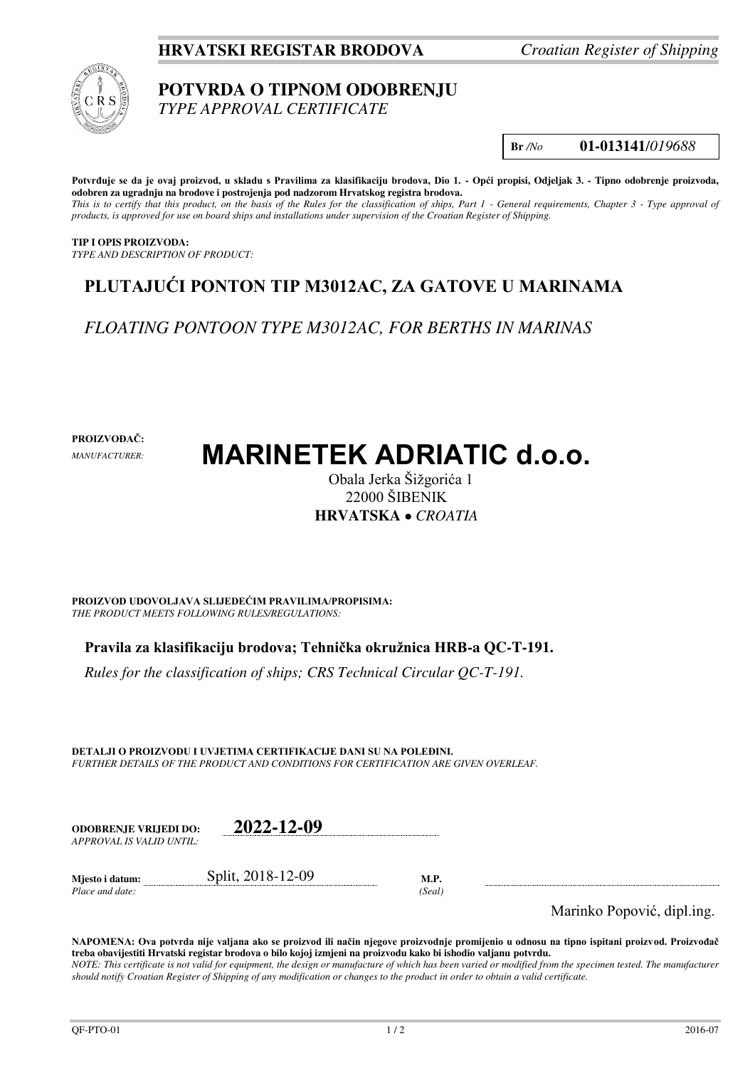### **HRVATSKI REGISTAR BRODOVA** *Croatian Register of Shipping*



# **POTVRDA O TIPNOM ODOBRENJU**

*TYPE APPROVAL CERTIFICATE* 

**Br** */No* **01-013141**/*019688*

**Potvrđuje se da je ovaj proizvod, u skladu s Pravilima za klasifikaciju brodova, Dio 1. - Opći propisi, Odjeljak 3. - Tipno odobrenje proizvoda, odobren za ugradnju na brodove i postrojenja pod nadzorom Hrvatskog registra brodova.**  *This is to certify that this product, on the basis of the Rules for the classification of ships, Part 1 - General requirements, Chapter 3 - Type approval of products, is approved for use on board ships and installations under supervision of the Croatian Register of Shipping.* 

**TIP I OPIS PROIZVODA:** *TYPE AND DESCRIPTION OF PRODUCT:* 

## **PLUTAJUĆI PONTON TIP M3012AC, ZA GATOVE U MARINAMA**

*FLOATING PONTOON TYPE M3012AC, FOR BERTHS IN MARINAS* 

**PROIZVOĐAČ:**

*MANUFACTURER:*

# **MARINETEK ADRIATIC d.o.o.**

Obala Jerka Šižgorića 1 22000 ŠIBENIK **HRVATSKA**  *CROATIA*

**PROIZVOD UDOVOLJAVA SLIJEDEĆIM PRAVILIMA/PROPISIMA:** *THE PRODUCT MEETS FOLLOWING RULES/REGULATIONS:* 

**Pravila za klasifikaciju brodova; Tehnička okružnica HRB-a QC-T-191.** 

*Rules for the classification of ships; CRS Technical Circular QC-T-191.*

**DETALJI O PROIZVODU I UVJETIMA CERTIFIKACIJE DANI SU NA POLEĐINI.** *FURTHER DETAILS OF THE PRODUCT AND CONDITIONS FOR CERTIFICATION ARE GIVEN OVERLEAF.* 

| <b>ODOBRENJE VRLIEDI DO:</b> | 2022-12-09        |      |
|------------------------------|-------------------|------|
| APPROVAL IS VALID UNTIL:     |                   |      |
| Mjesto i datum:              | Split, 2018-12-09 | M.P. |

*Place and date: (Seal)* 

Marinko Popović, dipl.ing.

**NAPOMENA: Ova potvrda nije valjana ako se proizvod ili način njegove proizvodnje promijenio u odnosu na tipno ispitani proizvod. Proizvođač treba obavijestiti Hrvatski registar brodova o bilo kojoj izmjeni na proizvodu kako bi ishodio valjanu potvrdu.**  *NOTE: This certificate is not valid for equipment, the design or manufacture of which has been varied or modified from the specimen tested. The manufacturer should notify Croatian Register of Shipping of any modification or changes to the product in order to obtain a valid certificate.*